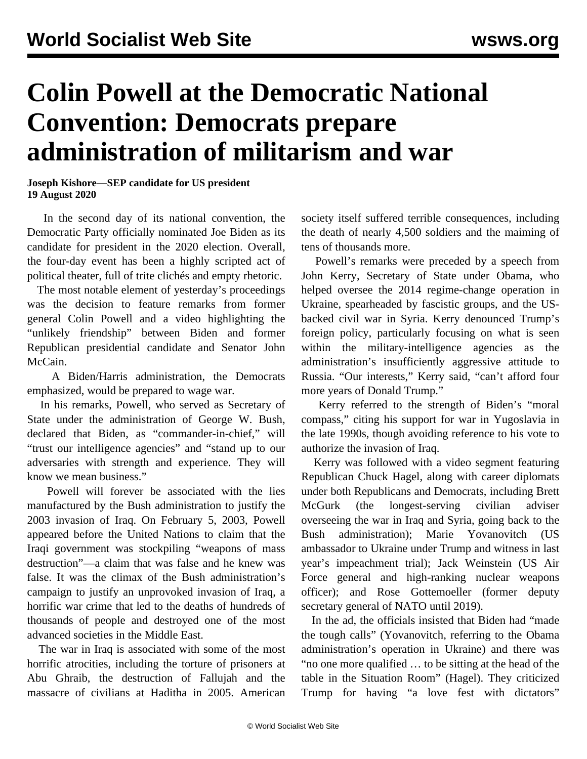## **Colin Powell at the Democratic National Convention: Democrats prepare administration of militarism and war**

**Joseph Kishore—SEP candidate for US president 19 August 2020**

 In the second day of its national convention, the Democratic Party officially nominated Joe Biden as its candidate for president in the 2020 election. Overall, the four-day event has been a highly scripted act of political theater, full of trite clichés and empty rhetoric.

 The most notable element of yesterday's proceedings was the decision to feature remarks from former general Colin Powell and a video highlighting the "unlikely friendship" between Biden and former Republican presidential candidate and Senator John McCain.

 A Biden/Harris administration, the Democrats emphasized, would be prepared to wage war.

 In his remarks, Powell, who served as Secretary of State under the administration of George W. Bush, declared that Biden, as "commander-in-chief," will "trust our intelligence agencies" and "stand up to our adversaries with strength and experience. They will know we mean business."

 Powell will forever be associated with the lies manufactured by the Bush administration to justify the 2003 invasion of Iraq. On February 5, 2003, Powell appeared before the United Nations to claim that the Iraqi government was stockpiling "weapons of mass destruction"—a claim that was false and he knew was false. It was the climax of the Bush administration's campaign to justify an unprovoked invasion of Iraq, a horrific war crime that led to the deaths of hundreds of thousands of people and destroyed one of the most advanced societies in the Middle East.

 The war in Iraq is associated with some of the most horrific atrocities, including the torture of prisoners at Abu Ghraib, the destruction of Fallujah and the massacre of civilians at Haditha in 2005. American

society itself suffered terrible consequences, including the death of nearly 4,500 soldiers and the maiming of tens of thousands more.

 Powell's remarks were preceded by a speech from John Kerry, Secretary of State under Obama, who helped oversee the 2014 regime-change operation in Ukraine, spearheaded by fascistic groups, and the USbacked civil war in Syria. Kerry denounced Trump's foreign policy, particularly focusing on what is seen within the military-intelligence agencies as the administration's insufficiently aggressive attitude to Russia. "Our interests," Kerry said, "can't afford four more years of Donald Trump."

 Kerry referred to the strength of Biden's "moral compass," citing his support for war in Yugoslavia in the late 1990s, though avoiding reference to his vote to authorize the invasion of Iraq.

 Kerry was followed with a video segment featuring Republican Chuck Hagel, along with career diplomats under both Republicans and Democrats, including Brett McGurk (the longest-serving civilian adviser overseeing the war in Iraq and Syria, going back to the Bush administration); Marie Yovanovitch (US ambassador to Ukraine under Trump and witness in last year's impeachment trial); Jack Weinstein (US Air Force general and high-ranking nuclear weapons officer); and Rose Gottemoeller (former deputy secretary general of NATO until 2019).

 In the ad, the officials insisted that Biden had "made the tough calls" (Yovanovitch, referring to the Obama administration's operation in Ukraine) and there was "no one more qualified … to be sitting at the head of the table in the Situation Room" (Hagel). They criticized Trump for having "a love fest with dictators"